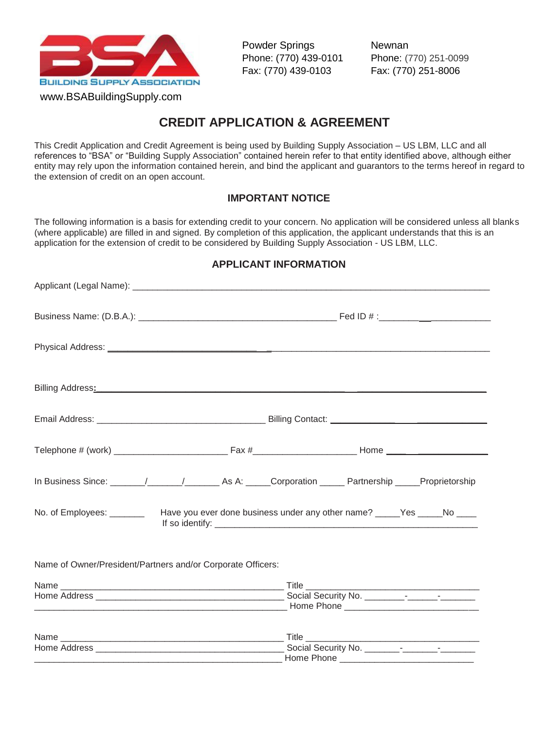

www.BSABuildingSupply.com

Powder Springs Newnan Phone: (770) 439-0101 Phone: (770) 251-0099 Fax: (770) 439-0103 Fax: (770) 251-8006

## **CREDIT APPLICATION & AGREEMENT**

This Credit Application and Credit Agreement is being used by Building Supply Association – US LBM, LLC and all references to "BSA" or "Building Supply Association" contained herein refer to that entity identified above, although either entity may rely upon the information contained herein, and bind the applicant and guarantors to the terms hereof in regard to the extension of credit on an open account.

## **IMPORTANT NOTICE**

The following information is a basis for extending credit to your concern. No application will be considered unless all blanks (where applicable) are filled in and signed. By completion of this application, the applicant understands that this is an application for the extension of credit to be considered by Building Supply Association - US LBM, LLC.

| Physical Address: 2008. 2009. 2009. 2009. 2009. 2009. 2009. 2009. 2009. 2009. 2009. 2009. 2009. 2009. 2009. 20 |  |            |  |  |
|----------------------------------------------------------------------------------------------------------------|--|------------|--|--|
|                                                                                                                |  |            |  |  |
|                                                                                                                |  |            |  |  |
|                                                                                                                |  |            |  |  |
| In Business Since: ______/______/__________ As A: _____Corporation ______ Partnership _____Proprietorship      |  |            |  |  |
| No. of Employees: ___________ Have you ever done business under any other name? _____Yes _____No ____          |  |            |  |  |
| Name of Owner/President/Partners and/or Corporate Officers:                                                    |  |            |  |  |
|                                                                                                                |  |            |  |  |
|                                                                                                                |  |            |  |  |
|                                                                                                                |  |            |  |  |
|                                                                                                                |  | Home Phone |  |  |

## **APPLICANT INFORMATION**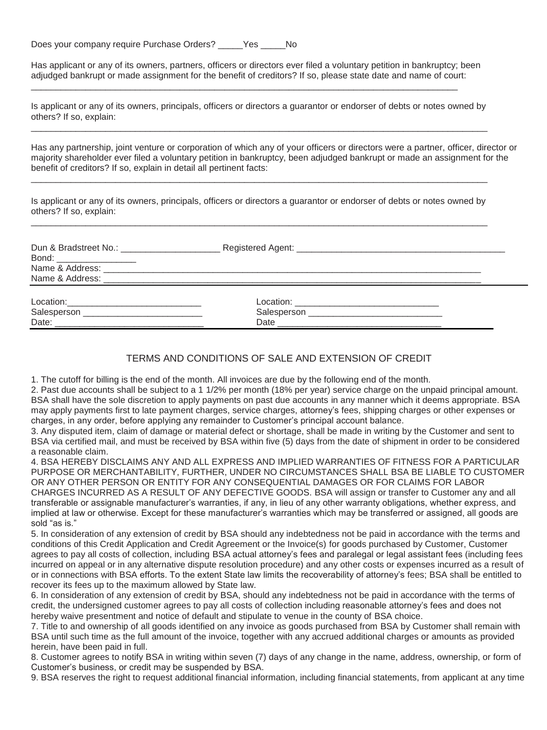Does your company require Purchase Orders? \_\_\_\_\_Yes \_\_\_\_\_No

Has applicant or any of its owners, partners, officers or directors ever filed a voluntary petition in bankruptcy; been adjudged bankrupt or made assignment for the benefit of creditors? If so, please state date and name of court:

\_\_\_\_\_\_\_\_\_\_\_\_\_\_\_\_\_\_\_\_\_\_\_\_\_\_\_\_\_\_\_\_\_\_\_\_\_\_\_\_\_\_\_\_\_\_\_\_\_\_\_\_\_\_\_\_\_\_\_\_\_\_\_\_\_\_\_\_\_\_\_\_\_\_\_\_\_\_\_\_\_\_\_\_\_\_

Is applicant or any of its owners, principals, officers or directors a guarantor or endorser of debts or notes owned by others? If so, explain:  $\_$  ,  $\_$  ,  $\_$  ,  $\_$  ,  $\_$  ,  $\_$  ,  $\_$  ,  $\_$  ,  $\_$  ,  $\_$  ,  $\_$  ,  $\_$  ,  $\_$  ,  $\_$  ,  $\_$  ,  $\_$  ,  $\_$  ,  $\_$  ,  $\_$  ,  $\_$  ,  $\_$  ,  $\_$  ,  $\_$  ,  $\_$  ,  $\_$  ,  $\_$  ,  $\_$  ,  $\_$  ,  $\_$  ,  $\_$  ,  $\_$  ,  $\_$  ,  $\_$  ,  $\_$  ,  $\_$  ,  $\_$  ,  $\_$  ,

Has any partnership, joint venture or corporation of which any of your officers or directors were a partner, officer, director or majority shareholder ever filed a voluntary petition in bankruptcy, been adjudged bankrupt or made an assignment for the benefit of creditors? If so, explain in detail all pertinent facts:

Is applicant or any of its owners, principals, officers or directors a guarantor or endorser of debts or notes owned by others? If so, explain:  $\_$  ,  $\_$  ,  $\_$  ,  $\_$  ,  $\_$  ,  $\_$  ,  $\_$  ,  $\_$  ,  $\_$  ,  $\_$  ,  $\_$  ,  $\_$  ,  $\_$  ,  $\_$  ,  $\_$  ,  $\_$  ,  $\_$  ,  $\_$  ,  $\_$  ,  $\_$  ,  $\_$  ,  $\_$  ,  $\_$  ,  $\_$  ,  $\_$  ,  $\_$  ,  $\_$  ,  $\_$  ,  $\_$  ,  $\_$  ,  $\_$  ,  $\_$  ,  $\_$  ,  $\_$  ,  $\_$  ,  $\_$  ,  $\_$  ,

\_\_\_\_\_\_\_\_\_\_\_\_\_\_\_\_\_\_\_\_\_\_\_\_\_\_\_\_\_\_\_\_\_\_\_\_\_\_\_\_\_\_\_\_\_\_\_\_\_\_\_\_\_\_\_\_\_\_\_\_\_\_\_\_\_\_\_\_\_\_\_\_\_\_\_\_\_\_\_\_\_\_\_\_\_\_\_\_\_\_\_\_

| Dun & Bradstreet No.: \[\]<br>Bond: ____________________ |                                                                                                                 |  |
|----------------------------------------------------------|-----------------------------------------------------------------------------------------------------------------|--|
|                                                          |                                                                                                                 |  |
|                                                          | Name & Address: Name & Address: Name & Address: Name & Address: Name & Address: Name & Address: Name & Research |  |
|                                                          |                                                                                                                 |  |
|                                                          |                                                                                                                 |  |
|                                                          |                                                                                                                 |  |

#### TERMS AND CONDITIONS OF SALE AND EXTENSION OF CREDIT

1. The cutoff for billing is the end of the month. All invoices are due by the following end of the month.

2. Past due accounts shall be subject to a 1 1/2% per month (18% per year) service charge on the unpaid principal amount. BSA shall have the sole discretion to apply payments on past due accounts in any manner which it deems appropriate. BSA may apply payments first to late payment charges, service charges, attorney's fees, shipping charges or other expenses or charges, in any order, before applying any remainder to Customer's principal account balance.

3. Any disputed item, claim of damage or material defect or shortage, shall be made in writing by the Customer and sent to BSA via certified mail, and must be received by BSA within five (5) days from the date of shipment in order to be considered a reasonable claim.

4. BSA HEREBY DISCLAIMS ANY AND ALL EXPRESS AND IMPLIED WARRANTIES OF FITNESS FOR A PARTICULAR PURPOSE OR MERCHANTABILITY, FURTHER, UNDER NO CIRCUMSTANCES SHALL BSA BE LIABLE TO CUSTOMER OR ANY OTHER PERSON OR ENTITY FOR ANY CONSEQUENTIAL DAMAGES OR FOR CLAIMS FOR LABOR CHARGES INCURRED AS A RESULT OF ANY DEFECTIVE GOODS. BSA will assign or transfer to Customer any and all transferable or assignable manufacturer's warranties, if any, in lieu of any other warranty obligations, whether express, and implied at law or otherwise. Except for these manufacturer's warranties which may be transferred or assigned, all goods are sold "as is."

5. In consideration of any extension of credit by BSA should any indebtedness not be paid in accordance with the terms and conditions of this Credit Application and Credit Agreement or the Invoice(s) for goods purchased by Customer, Customer agrees to pay all costs of collection, including BSA actual attorney's fees and paralegal or legal assistant fees (including fees incurred on appeal or in any alternative dispute resolution procedure) and any other costs or expenses incurred as a result of or in connections with BSA efforts. To the extent State law limits the recoverability of attorney's fees; BSA shall be entitled to recover its fees up to the maximum allowed by State law.

6. In consideration of any extension of credit by BSA, should any indebtedness not be paid in accordance with the terms of credit, the undersigned customer agrees to pay all costs of collection including reasonable attorney's fees and does not hereby waive presentment and notice of default and stipulate to venue in the county of BSA choice.

7. Title to and ownership of all goods identified on any invoice as goods purchased from BSA by Customer shall remain with BSA until such time as the full amount of the invoice, together with any accrued additional charges or amounts as provided herein, have been paid in full.

8. Customer agrees to notify BSA in writing within seven (7) days of any change in the name, address, ownership, or form of Customer's business, or credit may be suspended by BSA.

9. BSA reserves the right to request additional financial information, including financial statements, from applicant at any time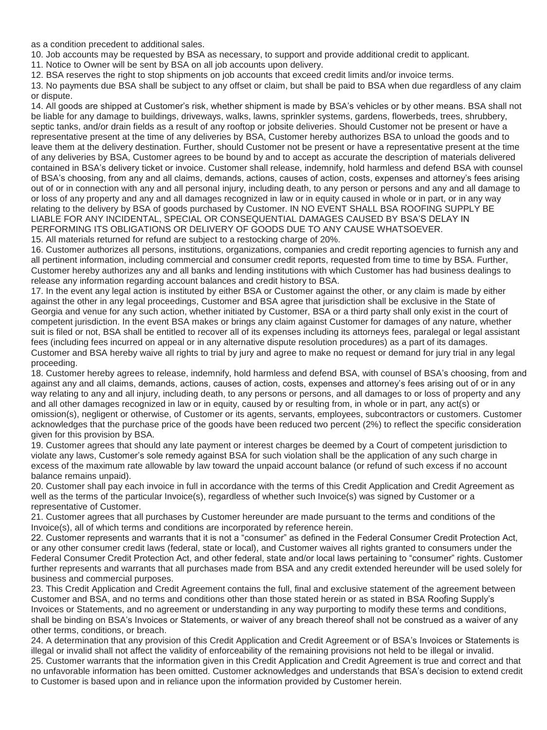as a condition precedent to additional sales.

10. Job accounts may be requested by BSA as necessary, to support and provide additional credit to applicant.

11. Notice to Owner will be sent by BSA on all job accounts upon delivery.

12. BSA reserves the right to stop shipments on job accounts that exceed credit limits and/or invoice terms.

13. No payments due BSA shall be subject to any offset or claim, but shall be paid to BSA when due regardless of any claim or dispute.

14. All goods are shipped at Customer's risk, whether shipment is made by BSA's vehicles or by other means. BSA shall not be liable for any damage to buildings, driveways, walks, lawns, sprinkler systems, gardens, flowerbeds, trees, shrubbery, septic tanks, and/or drain fields as a result of any rooftop or jobsite deliveries. Should Customer not be present or have a representative present at the time of any deliveries by BSA, Customer hereby authorizes BSA to unload the goods and to leave them at the delivery destination. Further, should Customer not be present or have a representative present at the time of any deliveries by BSA, Customer agrees to be bound by and to accept as accurate the description of materials delivered contained in BSA's delivery ticket or invoice. Customer shall release, indemnify, hold harmless and defend BSA with counsel of BSA's choosing, from any and all claims, demands, actions, causes of action, costs, expenses and attorney's fees arising out of or in connection with any and all personal injury, including death, to any person or persons and any and all damage to or loss of any property and any and all damages recognized in law or in equity caused in whole or in part, or in any way relating to the delivery by BSA of goods purchased by Customer. IN NO EVENT SHALL BSA ROOFING SUPPLY BE LIABLE FOR ANY INCIDENTAL, SPECIAL OR CONSEQUENTIAL DAMAGES CAUSED BY BSA'S DELAY IN PERFORMING ITS OBLIGATIONS OR DELIVERY OF GOODS DUE TO ANY CAUSE WHATSOEVER.

15. All materials returned for refund are subject to a restocking charge of 20%.

16. Customer authorizes all persons, institutions, organizations, companies and credit reporting agencies to furnish any and all pertinent information, including commercial and consumer credit reports, requested from time to time by BSA. Further, Customer hereby authorizes any and all banks and lending institutions with which Customer has had business dealings to release any information regarding account balances and credit history to BSA.

17. In the event any legal action is instituted by either BSA or Customer against the other, or any claim is made by either against the other in any legal proceedings, Customer and BSA agree that jurisdiction shall be exclusive in the State of Georgia and venue for any such action, whether initiated by Customer, BSA or a third party shall only exist in the court of competent jurisdiction. In the event BSA makes or brings any claim against Customer for damages of any nature, whether suit is filed or not, BSA shall be entitled to recover all of its expenses including its attorneys fees, paralegal or legal assistant fees (including fees incurred on appeal or in any alternative dispute resolution procedures) as a part of its damages. Customer and BSA hereby waive all rights to trial by jury and agree to make no request or demand for jury trial in any legal proceeding.

18. Customer hereby agrees to release, indemnify, hold harmless and defend BSA, with counsel of BSA's choosing, from and against any and all claims, demands, actions, causes of action, costs, expenses and attorney's fees arising out of or in any way relating to any and all injury, including death, to any persons or persons, and all damages to or loss of property and any and all other damages recognized in law or in equity, caused by or resulting from, in whole or in part, any act(s) or omission(s), negligent or otherwise, of Customer or its agents, servants, employees, subcontractors or customers. Customer acknowledges that the purchase price of the goods have been reduced two percent (2%) to reflect the specific consideration given for this provision by BSA.

19. Customer agrees that should any late payment or interest charges be deemed by a Court of competent jurisdiction to violate any laws, Customer's sole remedy against BSA for such violation shall be the application of any such charge in excess of the maximum rate allowable by law toward the unpaid account balance (or refund of such excess if no account balance remains unpaid).

20. Customer shall pay each invoice in full in accordance with the terms of this Credit Application and Credit Agreement as well as the terms of the particular Invoice(s), regardless of whether such Invoice(s) was signed by Customer or a representative of Customer.

21. Customer agrees that all purchases by Customer hereunder are made pursuant to the terms and conditions of the Invoice(s), all of which terms and conditions are incorporated by reference herein.

22. Customer represents and warrants that it is not a "consumer" as defined in the Federal Consumer Credit Protection Act, or any other consumer credit laws (federal, state or local), and Customer waives all rights granted to consumers under the Federal Consumer Credit Protection Act, and other federal, state and/or local laws pertaining to "consumer" rights. Customer further represents and warrants that all purchases made from BSA and any credit extended hereunder will be used solely for business and commercial purposes.

23. This Credit Application and Credit Agreement contains the full, final and exclusive statement of the agreement between Customer and BSA, and no terms and conditions other than those stated herein or as stated in BSA Roofing Supply's Invoices or Statements, and no agreement or understanding in any way purporting to modify these terms and conditions, shall be binding on BSA's Invoices or Statements, or waiver of any breach thereof shall not be construed as a waiver of any other terms, conditions, or breach.

24. A determination that any provision of this Credit Application and Credit Agreement or of BSA's Invoices or Statements is illegal or invalid shall not affect the validity of enforceability of the remaining provisions not held to be illegal or invalid. 25. Customer warrants that the information given in this Credit Application and Credit Agreement is true and correct and that no unfavorable information has been omitted. Customer acknowledges and understands that BSA's decision to extend credit to Customer is based upon and in reliance upon the information provided by Customer herein.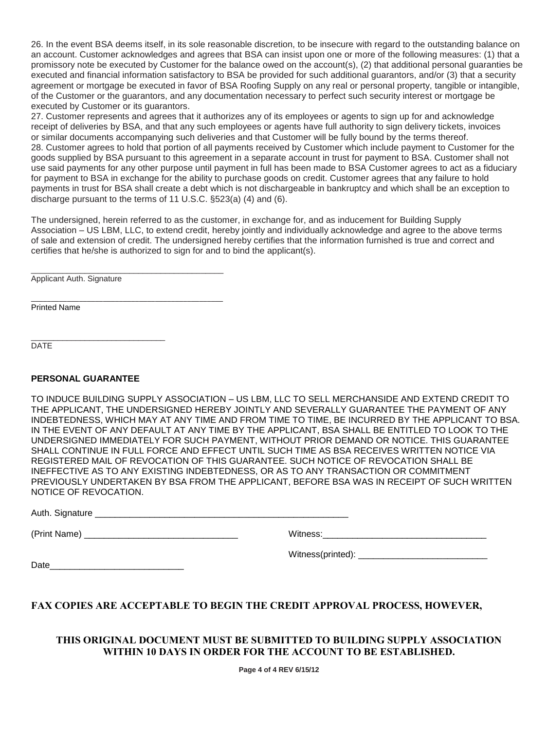26. In the event BSA deems itself, in its sole reasonable discretion, to be insecure with regard to the outstanding balance on an account. Customer acknowledges and agrees that BSA can insist upon one or more of the following measures: (1) that a promissory note be executed by Customer for the balance owed on the account(s), (2) that additional personal guaranties be executed and financial information satisfactory to BSA be provided for such additional guarantors, and/or (3) that a security agreement or mortgage be executed in favor of BSA Roofing Supply on any real or personal property, tangible or intangible, of the Customer or the guarantors, and any documentation necessary to perfect such security interest or mortgage be executed by Customer or its guarantors.

27. Customer represents and agrees that it authorizes any of its employees or agents to sign up for and acknowledge receipt of deliveries by BSA, and that any such employees or agents have full authority to sign delivery tickets, invoices or similar documents accompanying such deliveries and that Customer will be fully bound by the terms thereof. 28. Customer agrees to hold that portion of all payments received by Customer which include payment to Customer for the goods supplied by BSA pursuant to this agreement in a separate account in trust for payment to BSA. Customer shall not use said payments for any other purpose until payment in full has been made to BSA Customer agrees to act as a fiduciary for payment to BSA in exchange for the ability to purchase goods on credit. Customer agrees that any failure to hold payments in trust for BSA shall create a debt which is not dischargeable in bankruptcy and which shall be an exception to discharge pursuant to the terms of 11 U.S.C. §523(a) (4) and (6).

The undersigned, herein referred to as the customer, in exchange for, and as inducement for Building Supply Association – US LBM, LLC, to extend credit, hereby jointly and individually acknowledge and agree to the above terms of sale and extension of credit. The undersigned hereby certifies that the information furnished is true and correct and certifies that he/she is authorized to sign for and to bind the applicant(s).

Applicant Auth. Signature

\_\_\_\_\_\_\_\_\_\_\_\_\_\_\_\_\_\_\_\_\_\_\_\_\_\_\_\_\_\_\_\_\_\_\_\_\_\_\_\_\_\_\_\_\_\_\_\_ Printed Name

\_\_\_\_\_\_\_\_\_\_\_\_\_\_\_\_\_\_\_\_\_\_\_\_\_\_\_\_\_\_ **DATE** 

#### **PERSONAL GUARANTEE**

TO INDUCE BUILDING SUPPLY ASSOCIATION – US LBM, LLC TO SELL MERCHANSIDE AND EXTEND CREDIT TO THE APPLICANT, THE UNDERSIGNED HEREBY JOINTLY AND SEVERALLY GUARANTEE THE PAYMENT OF ANY INDEBTEDNESS, WHICH MAY AT ANY TIME AND FROM TIME TO TIME, BE INCURRED BY THE APPLICANT TO BSA. IN THE EVENT OF ANY DEFAULT AT ANY TIME BY THE APPLICANT, BSA SHALL BE ENTITLED TO LOOK TO THE UNDERSIGNED IMMEDIATELY FOR SUCH PAYMENT, WITHOUT PRIOR DEMAND OR NOTICE. THIS GUARANTEE SHALL CONTINUE IN FULL FORCE AND EFFECT UNTIL SUCH TIME AS BSA RECEIVES WRITTEN NOTICE VIA REGISTERED MAIL OF REVOCATION OF THIS GUARANTEE. SUCH NOTICE OF REVOCATION SHALL BE INEFFECTIVE AS TO ANY EXISTING INDEBTEDNESS, OR AS TO ANY TRANSACTION OR COMMITMENT PREVIOUSLY UNDERTAKEN BY BSA FROM THE APPLICANT, BEFORE BSA WAS IN RECEIPT OF SUCH WRITTEN NOTICE OF REVOCATION.

Auth. Signature \_\_\_\_\_\_\_\_\_\_\_\_\_\_\_\_\_\_\_\_\_\_\_\_\_\_\_\_\_\_\_\_\_\_\_\_\_\_\_\_\_\_\_\_\_\_\_\_\_\_\_

\_\_\_\_\_\_\_\_\_\_\_\_\_\_\_\_\_\_\_\_\_\_\_\_\_\_\_\_\_\_\_\_\_\_\_\_\_\_\_\_\_\_\_

(Print Name) \_\_\_\_\_\_\_\_\_\_\_\_\_\_\_\_\_\_\_\_\_\_\_\_\_\_\_\_\_\_\_ Witness:\_\_\_\_\_\_\_\_\_\_\_\_\_\_\_\_\_\_\_\_\_\_\_\_\_\_\_\_\_\_\_\_\_

Date

Witness(printed):

## **FAX COPIES ARE ACCEPTABLE TO BEGIN THE CREDIT APPROVAL PROCESS, HOWEVER,**

### **THIS ORIGINAL DOCUMENT MUST BE SUBMITTED TO BUILDING SUPPLY ASSOCIATION WITHIN 10 DAYS IN ORDER FOR THE ACCOUNT TO BE ESTABLISHED.**

**Page 4 of 4 REV 6/15/12**